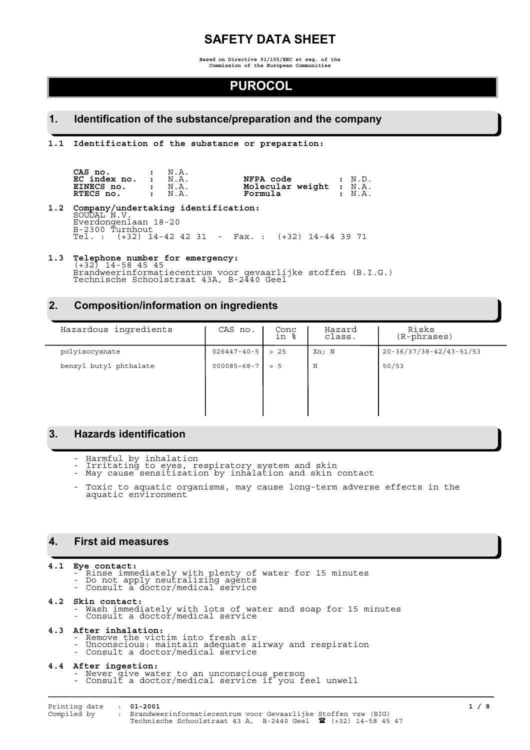# **SAFETY DATA SHEET**

**Based on Directive 91/155/EEC et seq. of the Commission of the European Communities**

# **PUROCOL**

### **1. Identification of the substance/preparation and the company**

**1.1 Identification of the substance or preparation:**

| $\mathsf{CAS}$ no. $\qquad \qquad : \quad \mathbb{N} \ldotp \mathbb{A}.$ |  |                         |              |
|--------------------------------------------------------------------------|--|-------------------------|--------------|
| $EC$ index no. $\cdot$ N.A.                                              |  | NFPA code : N.D.        |              |
| EINECS $no.$ : $N.A.$                                                    |  | Molecular weight : N.A. |              |
| RTECS no. : N.A.                                                         |  | Formula                 | $\cdot$ N.A. |

**1.2 Company/undertaking identification:** SOUDAL N.V. Everdongenlaan 18-20 B-2300 Turnhout Tel. : (+32) 14-42 42 31 - Fax. : (+32) 14-44 39 71

# **1.3 Telephone number for emergency:** (+32) 14-58 45 45

Brandweerinformatiecentrum voor gevaarlijke stoffen (B.I.G.) Technische Schoolstraat 43A, B-2440 Geel

## **2. Composition/information on ingredients**

| Hazardous ingredients  | CAS no.           | Conc<br>in % | Hazard<br>class. | Risks<br>$(R$ -phrases) |
|------------------------|-------------------|--------------|------------------|-------------------------|
| polyisocyanate         | $026447 - 40 - 5$ | > 25         | Xn; N            | 20-36/37/38-42/43-51/53 |
| benzyl butyl phthalate | $000085 - 68 - 7$ | > 5          | N                | 50/53                   |
|                        |                   |              |                  |                         |
|                        |                   |              |                  |                         |
|                        |                   |              |                  |                         |

## **3. Hazards identification**

- Harmful by inhalation
- Irritating to eyes, respiratory system and skin - May cause sensitization by inhalation and skin contact
- Toxic to aquatic organisms, may cause long-term adverse effects in the aquatic environment

## **4. First aid measures**

- **4.1 Eye contact:** Rinse immediately with plenty of water for 15 minutes
	- Do not apply neutralizing agents - Consult a doctor/medical service

### **4.2 Skin contact:**

- Wash immediately with lots of water and soap for 15 minutes - Consult a doctor/medical service

### **4.3 After inhalation:**

- Remove the victim into fresh air
- Unconscious: maintain adequate airway and respiration
- Consult a doctor/medical service

- **4.4 After ingestion:** Never give water to an unconscious person
	- Consult a doctor/medical service if you feel unwell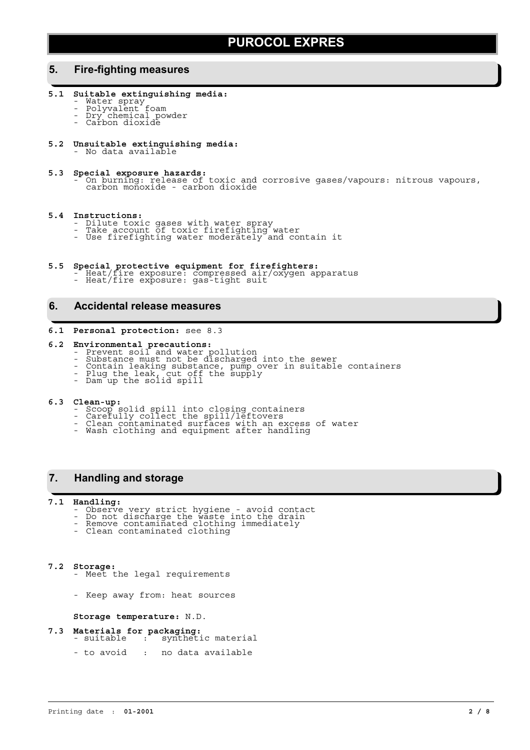### **5. Fire-fighting measures**

- **5.1 Suitable extinguishing media:**
	- Water spray
	- Polyvalent foam - Dry chemical powder
	- Carbon dioxide
- **5.2 Unsuitable extinguishing media:** No data available
- 
- **5.3 Special exposure hazards:** On burning: release of toxic and corrosive gases/vapours: nitrous vapours, carbon monoxide carbon dioxide

### **5.4 Instructions:**

- Dilute toxic gases with water spray
- Take account of toxic firefighting water - Use firefighting water moderately and contain it
- **5.5 Special protective equipment for firefighters:** Heat/fire exposure: compressed air/oxygen apparatus
	- Heat/fire exposure: gas-tight suit
		-

## **6. Accidental release measures**

### **6.1 Personal protection:** see 8.3

# **6.2 Environmental precautions:** - Prevent soil and water pollution

- 
- Substance must not be discharged into the sewer
- Contain leaking substance, pump over in suitable containers - Plug the leak, cut off the supply
- Dam up the solid spill

- **6.3 Clean-up:** Scoop solid spill into closing containers
	- Carefully collect the spill/leftovers
	- Clean contaminated surfaces with an excess of water - Wash clothing and equipment after handling
	-

### **7. Handling and storage**

- **7.1 Handling:** Observe very strict hygiene avoid contact
	- Do not discharge the waste into the drain - Remove contaminated clothing immediately
	- Clean contaminated clothing
- **7.2 Storage:** Meet the legal requirements
	- Keep away from: heat sources

**Storage temperature:** N.D.

- **7.3 Materials for packaging:** suitable : synthetic material
	- to avoid : no data available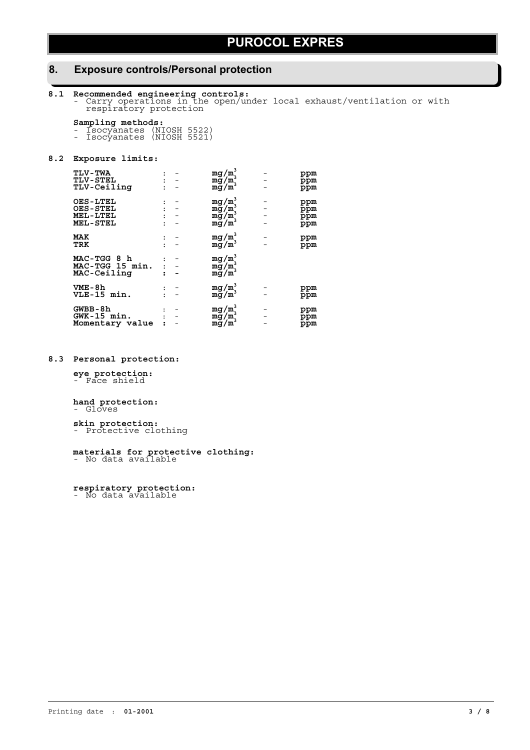## **8. Exposure controls/Personal protection**

**8.1 Recommended engineering controls:** - Carry operations in the open/under local exhaust/ventilation or with respiratory protection

**Sampling methods:** - Isocyanates (NIOSH 5522)

- Isocyanates (NIOSH 5521)

### **8.2 Exposure limits:**

| <b>TLV-TWA</b><br><b>TLV-STEL</b><br><b>TLV-Ceiling</b>           |  | $mg/m^3$<br>mg/m<br>$mg/m^3$                        | ppm<br>ppm<br>ppm        |
|-------------------------------------------------------------------|--|-----------------------------------------------------|--------------------------|
| <b>OES-LTEL</b><br><b>OES-STEL</b><br>MEL-LTEL<br><b>MEL-STEL</b> |  | $mg/m_s^3$<br>mg/m<br>$mg/m^3$<br>mg/m <sup>3</sup> | ppm<br>ppm<br>ppm<br>ppm |
| MAK<br>TRK                                                        |  | $mg/m^3$<br>$mg/m^3$                                | ppm<br>ppm               |
| MAC-TGG 8 h<br>MAC-TGG 15 min.<br>MAC-Ceiling                     |  | $mg/m^3$<br>$mg/m^3$<br>mg/m                        |                          |
| VME-8h<br>VLE-15 min.                                             |  | $mg/m^3$<br>mg/m <sup>-</sup>                       | ppm<br>ppm               |
| GWBB-8h<br>GWK-15 min.<br>Momentary value                         |  | $mg/m^3$<br>mg/mj<br>mg/m                           | ppm<br>ppm<br>ppm        |

### **8.3 Personal protection:**

**eye protection:** - Face shield

### **hand protection:** - Gloves

**skin protection:** - Protective clothing

**materials for protective clothing:** - No data available

**respiratory protection:** - No data available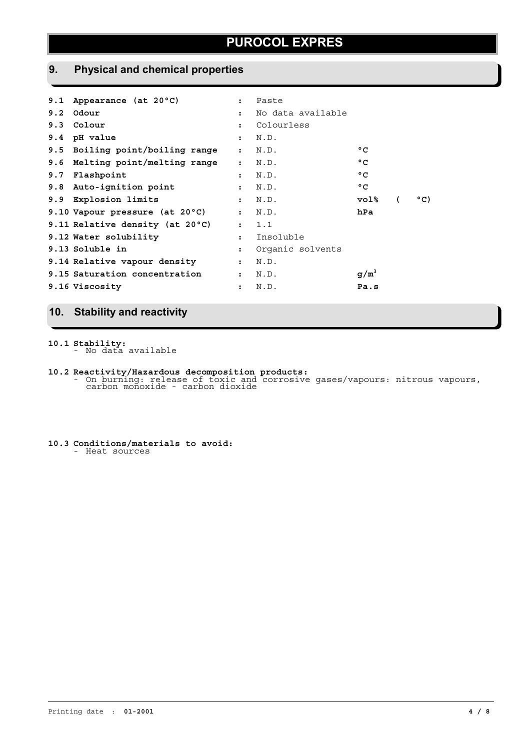# **9. Physical and chemical properties**

| 9.1 Appearance (at 20°C)        | $\ddot{\phantom{a}}$ | Paste             |              |          |               |
|---------------------------------|----------------------|-------------------|--------------|----------|---------------|
| $9.2$ Odour                     | $\mathbf{r}$         | No data available |              |          |               |
| 9.3 Colour                      | $\ddot{\phantom{a}}$ | Colourless        |              |          |               |
| 9.4 pH value                    | $\mathbf{r}$         | N.D.              |              |          |               |
| 9.5 Boiling point/boiling range | $\mathbf{r}$         | N.D.              | $^{\circ}$ C |          |               |
| 9.6 Melting point/melting range | $\mathbf{r}$         | N.D.              | $^{\circ}$ C |          |               |
| 9.7 Flashpoint                  | $\mathbf{r}$         | N.D.              | $^{\circ}$ C |          |               |
| 9.8 Auto-ignition point         | $\ddot{\phantom{a}}$ | N.D.              | °C           |          |               |
| 9.9 Explosion limits            | $\mathbf{r}$         | N.D.              | vol%         | $\left($ | $^{\circ}$ C) |
| 9.10 Vapour pressure (at 20°C)  |                      | : N.D.            | hPa          |          |               |
| 9.11 Relative density (at 20°C) |                      | : 1.1             |              |          |               |
| 9.12 Water solubility           | $\mathbf{r}$         | Insoluble         |              |          |               |
| 9.13 Soluble in                 | $\ddot{\phantom{a}}$ | Organic solvents  |              |          |               |
| 9.14 Relative vapour density    | $\ddot{\phantom{a}}$ | N.D.              |              |          |               |
| 9.15 Saturation concentration   | $\ddot{\cdot}$       | N.D.              | $g/m^3$      |          |               |
| 9.16 Viscosity                  | $\ddot{\phantom{a}}$ | N.D.              | Pa.s         |          |               |
|                                 |                      |                   |              |          |               |

# **10. Stability and reactivity**

**10.1 Stability:** - No data available

- **10.2 Reactivity/Hazardous decomposition products:** On burning: release of toxic and corrosive gases/vapours: nitrous vapours, carbon monoxide carbon dioxide
- **10.3 Conditions/materials to avoid:** - Heat sources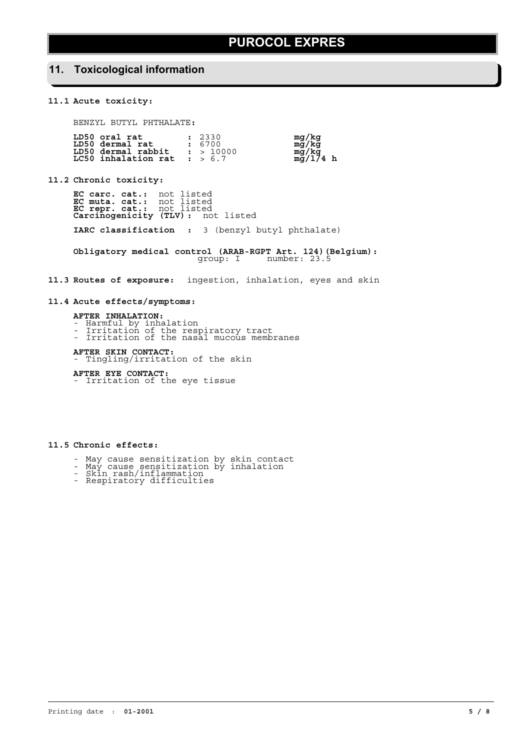## **11. Toxicological information**

### **11.1 Acute toxicity:**

BENZYL BUTYL PHTHALATE**:**

| LD50 oral rat                 | : 2330    | mg/kg          |
|-------------------------------|-----------|----------------|
| LD50 dermal rat               | : 6700    |                |
| LD50 dermal rabbit            | : > 10000 | mg/kg<br>mg/kg |
| LC50 inhalation rat : $> 6.7$ |           | $mg/174$ h     |

**11.2 Chronic toxicity:**

**EC carc. cat.:** not listed **EC muta. cat.:** not listed **EC repr. cat.:** not listed **Carcinogenicity (TLV) :** not listed **IARC classification :** 3 (benzyl butyl phthalate)

**Obligatory medical control (ARAB-RGPT Art. 124)(Belgium):** group: I number: 23.5

**11.3 Routes of exposure:** ingestion, inhalation, eyes and skin

### **11.4 Acute effects/symptoms:**

**AFTER INHALATION:**

- Harmful by inhalation
- Irritation of the respiratory tract - Irritation of the nasal mucous membranes

**AFTER SKIN CONTACT:** - Tingling/irritation of the skin

**AFTER EYE CONTACT:** - Irritation of the eye tissue

**11.5 Chronic effects:**

- May cause sensitization by skin contact
- May cause sensitization by inhalation - Skin rash/inflammation
- Respiratory difficulties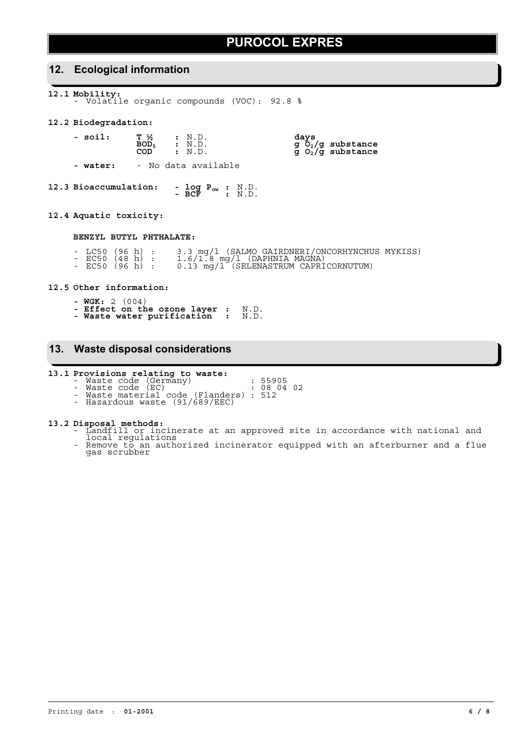| 12. Ecological information                                                                                                                  |  |                                       |                                            |                                                                                                                                                                         |  |
|---------------------------------------------------------------------------------------------------------------------------------------------|--|---------------------------------------|--------------------------------------------|-------------------------------------------------------------------------------------------------------------------------------------------------------------------------|--|
| 12.1 Mobility:                                                                                                                              |  |                                       | - Volatile organic compounds (VOC): 92.8 % |                                                                                                                                                                         |  |
| 12.2 Biodegradation:                                                                                                                        |  |                                       |                                            |                                                                                                                                                                         |  |
| $\begin{tabular}{lllllllll} -\hbox{ soil:} & T & \frac{1}{2} & : N.D. \\ \hline \text{BOD}_5 & : N.D. \\ \text{COD} & : N.D. \end{tabular}$ |  |                                       |                                            | days<br>g $\rm \bar O_2/g$ substance<br>g $\rm O_2/g$ substance                                                                                                         |  |
| - water: - No data available                                                                                                                |  |                                       |                                            |                                                                                                                                                                         |  |
| 12.3 Bioaccumulation:                                                                                                                       |  | - $log P_{ow}$ : N.D.<br>- BCF : N.D. |                                            |                                                                                                                                                                         |  |
| 12.4 Aquatic toxicity:                                                                                                                      |  |                                       |                                            |                                                                                                                                                                         |  |
| BENZYL BUTYL PHTHALATE:                                                                                                                     |  |                                       |                                            |                                                                                                                                                                         |  |
|                                                                                                                                             |  |                                       |                                            | - LC50 (96 h) : 3.3 mg/l (SALMO GAIRDNERI/ONCORHYNCHUS MYKISS)<br>- EC50 (48 h) : 1.6/1.8 mg/l (DAPHNIA MAGNA)<br>- EC50 (96 h) : 0.13 mg/l (SELENASTRUM CAPRICORNUTUM) |  |
| 12.5 Other information:                                                                                                                     |  |                                       |                                            |                                                                                                                                                                         |  |

**- WGK:** 2 (004) **- Effect on the ozone layer :** N.D. **- Waste water purification :** N.D.

## **13. Waste disposal considerations**

- **13.1 Provisions relating to waste:** Waste code (Germany) : 55905  $-$  Waste code (EC)  $\left( \frac{1}{2} \right)$  : 08 04 02
	- Waste material code (Flanders) : 512
	- Hazardous waste (91/689/EEC)

- 
- **13.2 Disposal methods:** Landfill or incinerate at an approved site in accordance with national and local regulations Remove to an authorized incinerator equipped with an afterburner and a flue gas scrubber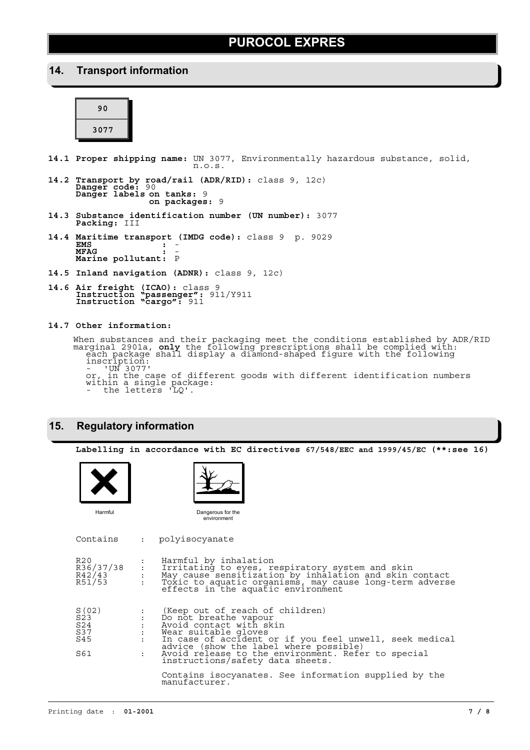### **14. Transport information**

| 90   |  |
|------|--|
| 3077 |  |

- **14.1 Proper shipping name:** UN 3077, Environmentally hazardous substance, solid, n.o.s.
- **14.2 Transport by road/rail (ADR/RID):** class 9, 12c) **Danger code:** 90 **Danger labels on tanks:** 9 **on packages:** 9
- **14.3 Substance identification number (UN number):** 3077 **Packing:** III
- **14.4 Maritime transport (IMDG code):** class 9 p. 9029 **EMS :** - **MFAG :** - **Marine pollutant:** <sup>P</sup>
- **14.5 Inland navigation (ADNR):** class 9, 12c)
- **14.6 Air freight (ICAO):** class 9 **Instruction "passenger":** 911/Y911 **Instruction "cargo":** 911

**14.7 Other information:**

When substances and their packaging meet the conditions established by ADR/RID<br>marginal 2901a, **only** the following prescriptions shall be complied with:<br>each package shall display a diamond-shaped figure with the followin inscription: - 'UN 3077'

or, in the case of different goods with different identification numbers within a single package: - the letters 'LQ'.

### **15. Regulatory information**

**Labelling in accordance with EC directives 67/548/EEC and 1999/45/EC (\*\*:see 16)** Contains : polyisocyanate R20 i Harmful by inhalation R36/37/38 : Irritating to eyes, respiratory system and skin R42/43 : May cause sensitization by inhalation and skin contact R51/53 : Toxic to aquatic organisms, may cause long-term adverse effects in the aquatic environment S(02) : (Keep out of reach of children) S23 : Do not breathe vapour S24 : Avoid contact with skin S37 : Wear suitable gloves S45 : In case of accident or if you feel unwell, seek medical<br>advice (show the label where possible)<br>: Avoid release to the environment. Refer to special<br>instructions/safety data sheets. Contains isocyanates. See information supplied by the manufacturer. Dangerous for the environment Harmful